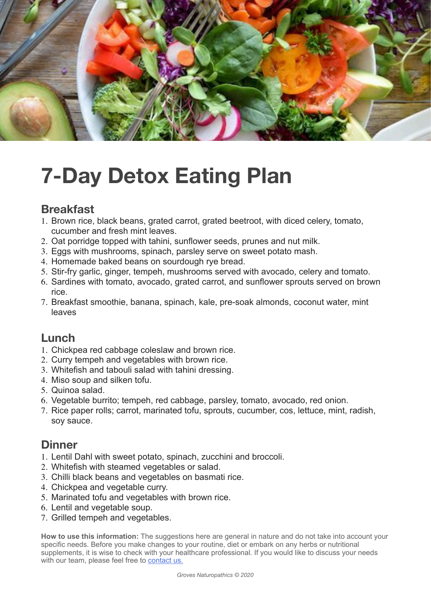

# **7-Day Detox Eating Plan**

# **Breakfast**

- 1. Brown rice, black beans, grated carrot, grated beetroot, with diced celery, tomato, cucumber and fresh mint leaves.
- 2. Oat porridge topped with tahini, sunflower seeds, prunes and nut milk.
- 3. Eggs with mushrooms, spinach, parsley serve on sweet potato mash.
- 4. Homemade baked beans on sourdough rye bread.
- 5. Stir-fry garlic, ginger, tempeh, mushrooms served with avocado, celery and tomato.
- 6. Sardines with tomato, avocado, grated carrot, and sunflower sprouts served on brown rice.
- 7. Breakfast smoothie, banana, spinach, kale, pre-soak almonds, coconut water, mint leaves

# **Lunch**

- 1. Chickpea red cabbage coleslaw and brown rice.
- 2. Curry tempeh and vegetables with brown rice.
- 3. Whitefish and tabouli salad with tahini dressing.
- 4. Miso soup and silken tofu.
- 5. Quinoa salad.
- 6. Vegetable burrito; tempeh, red cabbage, parsley, tomato, avocado, red onion.
- 7. Rice paper rolls; carrot, marinated tofu, sprouts, cucumber, cos, lettuce, mint, radish, soy sauce.

### **Dinner**

- 1. Lentil Dahl with sweet potato, spinach, zucchini and broccoli.
- 2. Whitefish with steamed vegetables or salad.
- 3. Chilli black beans and vegetables on basmati rice.
- 4. Chickpea and vegetable curry.
- 5. Marinated tofu and vegetables with brown rice.
- 6. Lentil and vegetable soup.
- 7. Grilled tempeh and vegetables.

**How to use this information:** The suggestions here are general in nature and do not take into account your specific needs. Before you make changes to your routine, diet or embark on any herbs or nutritional supplements, it is wise to check with your healthcare professional. If you would like to discuss your needs with our team, please feel free to [contact us.](https://www.grovesnaturopathics.com.au/contact-us/)